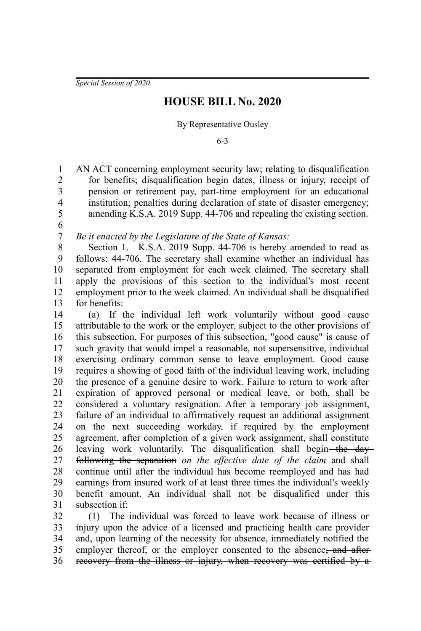*Special Session of 2020*

## **HOUSE BILL No. 2020**

By Representative Ousley

6-3

AN ACT concerning employment security law; relating to disqualification for benefits; disqualification begin dates, illness or injury, receipt of pension or retirement pay, part-time employment for an educational institution; penalties during declaration of state of disaster emergency; amending K.S.A. 2019 Supp. 44-706 and repealing the existing section. 1 2 3 4 5

6 7

*Be it enacted by the Legislature of the State of Kansas:*

Section 1. K.S.A. 2019 Supp. 44-706 is hereby amended to read as follows: 44-706. The secretary shall examine whether an individual has separated from employment for each week claimed. The secretary shall apply the provisions of this section to the individual's most recent employment prior to the week claimed. An individual shall be disqualified for benefits: 8 9 10 11 12 13

(a) If the individual left work voluntarily without good cause attributable to the work or the employer, subject to the other provisions of this subsection. For purposes of this subsection, "good cause" is cause of such gravity that would impel a reasonable, not supersensitive, individual exercising ordinary common sense to leave employment. Good cause requires a showing of good faith of the individual leaving work, including the presence of a genuine desire to work. Failure to return to work after expiration of approved personal or medical leave, or both, shall be considered a voluntary resignation. After a temporary job assignment, failure of an individual to affirmatively request an additional assignment on the next succeeding workday, if required by the employment agreement, after completion of a given work assignment, shall constitute leaving work voluntarily. The disqualification shall begin—the dayfollowing the separation *on the effective date of the claim* and shall continue until after the individual has become reemployed and has had earnings from insured work of at least three times the individual's weekly benefit amount. An individual shall not be disqualified under this subsection if: 14 15 16 17 18 19 20 21 22 23 24 25 26 27 28 29 30 31

(1) The individual was forced to leave work because of illness or injury upon the advice of a licensed and practicing health care provider and, upon learning of the necessity for absence, immediately notified the employer thereof, or the employer consented to the absence<del>, and after</del> recovery from the illness or injury, when recovery was certified by a-32 33 34 35 36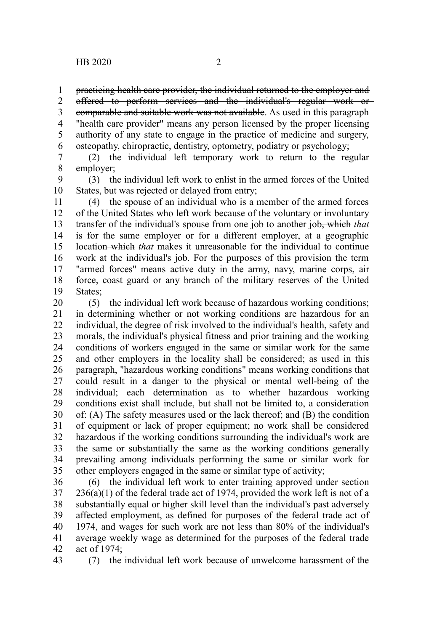practicing health care provider, the individual returned to the employer and 1

offered to perform services and the individual's regular work or 2

comparable and suitable work was not available. As used in this paragraph "health care provider" means any person licensed by the proper licensing authority of any state to engage in the practice of medicine and surgery, osteopathy, chiropractic, dentistry, optometry, podiatry or psychology; 3 4 5 6

(2) the individual left temporary work to return to the regular employer; 7 8

(3) the individual left work to enlist in the armed forces of the United States, but was rejected or delayed from entry; 9 10

(4) the spouse of an individual who is a member of the armed forces of the United States who left work because of the voluntary or involuntary transfer of the individual's spouse from one job to another job, which *that* is for the same employer or for a different employer, at a geographic location which *that* makes it unreasonable for the individual to continue work at the individual's job. For the purposes of this provision the term "armed forces" means active duty in the army, navy, marine corps, air force, coast guard or any branch of the military reserves of the United States: 11 12 13 14 15 16 17 18 19

(5) the individual left work because of hazardous working conditions; in determining whether or not working conditions are hazardous for an individual, the degree of risk involved to the individual's health, safety and morals, the individual's physical fitness and prior training and the working conditions of workers engaged in the same or similar work for the same and other employers in the locality shall be considered; as used in this paragraph, "hazardous working conditions" means working conditions that could result in a danger to the physical or mental well-being of the individual; each determination as to whether hazardous working conditions exist shall include, but shall not be limited to, a consideration of: (A) The safety measures used or the lack thereof; and (B) the condition of equipment or lack of proper equipment; no work shall be considered hazardous if the working conditions surrounding the individual's work are the same or substantially the same as the working conditions generally prevailing among individuals performing the same or similar work for other employers engaged in the same or similar type of activity; 20 21 22 23 24 25 26 27 28 29 30 31 32 33 34 35

(6) the individual left work to enter training approved under section  $236(a)(1)$  of the federal trade act of 1974, provided the work left is not of a substantially equal or higher skill level than the individual's past adversely affected employment, as defined for purposes of the federal trade act of 1974, and wages for such work are not less than 80% of the individual's average weekly wage as determined for the purposes of the federal trade act of 1974; 36 37 38 39 40 41 42

(7) the individual left work because of unwelcome harassment of the 43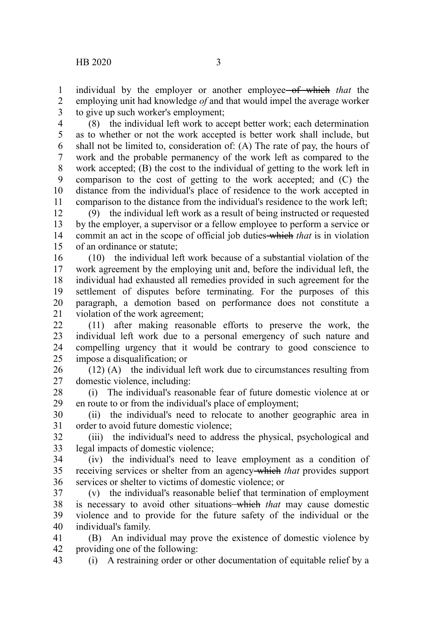43

individual by the employer or another employee of which *that* the employing unit had knowledge *of* and that would impel the average worker to give up such worker's employment; 1 2 3

(8) the individual left work to accept better work; each determination as to whether or not the work accepted is better work shall include, but shall not be limited to, consideration of: (A) The rate of pay, the hours of work and the probable permanency of the work left as compared to the work accepted; (B) the cost to the individual of getting to the work left in comparison to the cost of getting to the work accepted; and (C) the distance from the individual's place of residence to the work accepted in comparison to the distance from the individual's residence to the work left; 4 5 6 7 8 9 10 11

(9) the individual left work as a result of being instructed or requested by the employer, a supervisor or a fellow employee to perform a service or commit an act in the scope of official job duties which *that* is in violation of an ordinance or statute; 12 13 14 15

(10) the individual left work because of a substantial violation of the work agreement by the employing unit and, before the individual left, the individual had exhausted all remedies provided in such agreement for the settlement of disputes before terminating. For the purposes of this paragraph, a demotion based on performance does not constitute a violation of the work agreement; 16 17 18 19 20 21

(11) after making reasonable efforts to preserve the work, the individual left work due to a personal emergency of such nature and compelling urgency that it would be contrary to good conscience to impose a disqualification; or 22 23 24 25

(12) (A) the individual left work due to circumstances resulting from domestic violence, including: 26 27

(i) The individual's reasonable fear of future domestic violence at or en route to or from the individual's place of employment; 28 29

(ii) the individual's need to relocate to another geographic area in order to avoid future domestic violence; 30 31

(iii) the individual's need to address the physical, psychological and legal impacts of domestic violence; 32 33

(iv) the individual's need to leave employment as a condition of receiving services or shelter from an agency which *that* provides support services or shelter to victims of domestic violence; or 34 35 36

(v) the individual's reasonable belief that termination of employment is necessary to avoid other situations—which *that* may cause domestic violence and to provide for the future safety of the individual or the individual's family. 37 38 39 40

(B) An individual may prove the existence of domestic violence by providing one of the following: 41 42

(i) A restraining order or other documentation of equitable relief by a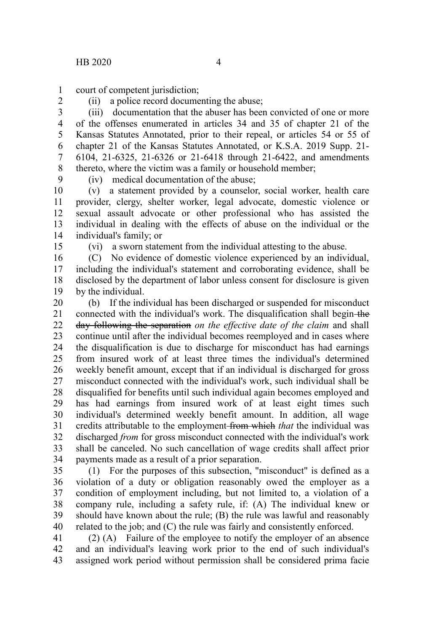court of competent jurisdiction; 1

2

(ii) a police record documenting the abuse;

(iii) documentation that the abuser has been convicted of one or more of the offenses enumerated in articles 34 and 35 of chapter 21 of the Kansas Statutes Annotated, prior to their repeal, or articles 54 or 55 of chapter 21 of the Kansas Statutes Annotated, or K.S.A. 2019 Supp. 21- 6104, 21-6325, 21-6326 or 21-6418 through 21-6422, and amendments thereto, where the victim was a family or household member; 3 4 5 6 7 8

9

(iv) medical documentation of the abuse;

(v) a statement provided by a counselor, social worker, health care provider, clergy, shelter worker, legal advocate, domestic violence or sexual assault advocate or other professional who has assisted the individual in dealing with the effects of abuse on the individual or the individual's family; or 10 11 12 13 14

15

(vi) a sworn statement from the individual attesting to the abuse.

(C) No evidence of domestic violence experienced by an individual, including the individual's statement and corroborating evidence, shall be disclosed by the department of labor unless consent for disclosure is given by the individual. 16 17 18 19

(b) If the individual has been discharged or suspended for misconduct connected with the individual's work. The disqualification shall begin-the day following the separation *on the effective date of the claim* and shall continue until after the individual becomes reemployed and in cases where the disqualification is due to discharge for misconduct has had earnings from insured work of at least three times the individual's determined weekly benefit amount, except that if an individual is discharged for gross misconduct connected with the individual's work, such individual shall be disqualified for benefits until such individual again becomes employed and has had earnings from insured work of at least eight times such individual's determined weekly benefit amount. In addition, all wage credits attributable to the employment from which *that* the individual was discharged *from* for gross misconduct connected with the individual's work shall be canceled. No such cancellation of wage credits shall affect prior payments made as a result of a prior separation. 20 21 22 23 24 25 26 27 28 29 30 31 32 33 34

(1) For the purposes of this subsection, "misconduct" is defined as a violation of a duty or obligation reasonably owed the employer as a condition of employment including, but not limited to, a violation of a company rule, including a safety rule, if: (A) The individual knew or should have known about the rule; (B) the rule was lawful and reasonably related to the job; and (C) the rule was fairly and consistently enforced. 35 36 37 38 39 40

(2) (A) Failure of the employee to notify the employer of an absence and an individual's leaving work prior to the end of such individual's assigned work period without permission shall be considered prima facie 41 42 43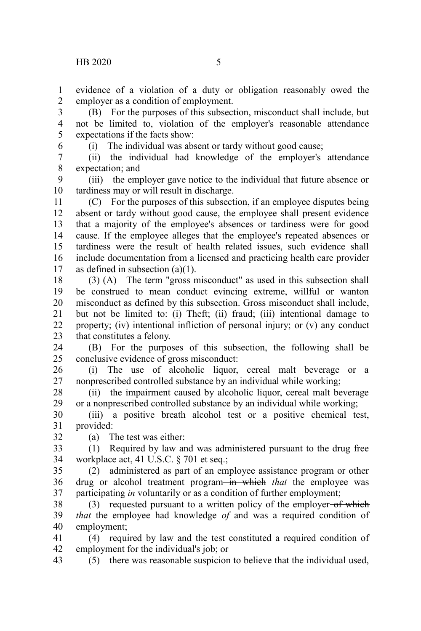evidence of a violation of a duty or obligation reasonably owed the employer as a condition of employment. 1 2

(B) For the purposes of this subsection, misconduct shall include, but not be limited to, violation of the employer's reasonable attendance expectations if the facts show: 3 4 5

6

(i) The individual was absent or tardy without good cause;

(ii) the individual had knowledge of the employer's attendance expectation; and 7 8

(iii) the employer gave notice to the individual that future absence or tardiness may or will result in discharge. 9 10

(C) For the purposes of this subsection, if an employee disputes being absent or tardy without good cause, the employee shall present evidence that a majority of the employee's absences or tardiness were for good cause. If the employee alleges that the employee's repeated absences or tardiness were the result of health related issues, such evidence shall include documentation from a licensed and practicing health care provider as defined in subsection (a)(1). 11 12 13 14 15 16 17

(3) (A) The term "gross misconduct" as used in this subsection shall be construed to mean conduct evincing extreme, willful or wanton misconduct as defined by this subsection. Gross misconduct shall include, but not be limited to: (i) Theft; (ii) fraud; (iii) intentional damage to property; (iv) intentional infliction of personal injury; or (v) any conduct that constitutes a felony. 18 19 20 21 22 23

(B) For the purposes of this subsection, the following shall be conclusive evidence of gross misconduct: 24 25

(i) The use of alcoholic liquor, cereal malt beverage or a nonprescribed controlled substance by an individual while working; 26 27

(ii) the impairment caused by alcoholic liquor, cereal malt beverage or a nonprescribed controlled substance by an individual while working; 28 29

(iii) a positive breath alcohol test or a positive chemical test, provided: 30 31 32

(a) The test was either:

(1) Required by law and was administered pursuant to the drug free workplace act, 41 U.S.C. § 701 et seq.; 33 34

(2) administered as part of an employee assistance program or other drug or alcohol treatment program-in which that the employee was participating *in* voluntarily or as a condition of further employment; 35 36 37

(3) requested pursuant to a written policy of the employer-of which *that* the employee had knowledge *of* and was a required condition of employment; 38 39 40

(4) required by law and the test constituted a required condition of employment for the individual's job; or 41 42

(5) there was reasonable suspicion to believe that the individual used, 43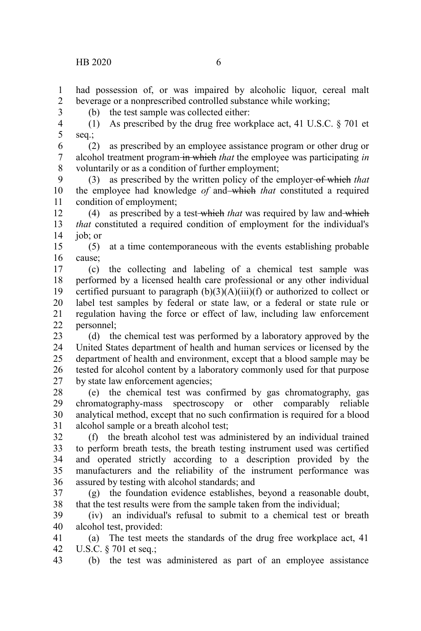3

had possession of, or was impaired by alcoholic liquor, cereal malt beverage or a nonprescribed controlled substance while working; 1 2

(b) the test sample was collected either:

(1) As prescribed by the drug free workplace act, 41 U.S.C.  $\S$  701 et seq.; 4 5

(2) as prescribed by an employee assistance program or other drug or alcohol treatment program in which *that* the employee was participating *in* voluntarily or as a condition of further employment; 6 7 8

(3) as prescribed by the written policy of the employer of which *that* the employee had knowledge *of* and which *that* constituted a required condition of employment; 9 10 11

(4) as prescribed by a test which *that* was required by law and which *that* constituted a required condition of employment for the individual's job; or 12 13 14

(5) at a time contemporaneous with the events establishing probable cause; 15 16

(c) the collecting and labeling of a chemical test sample was performed by a licensed health care professional or any other individual certified pursuant to paragraph  $(b)(3)(A)(iii)(f)$  or authorized to collect or label test samples by federal or state law, or a federal or state rule or regulation having the force or effect of law, including law enforcement personnel; 17 18 19 20 21 22

(d) the chemical test was performed by a laboratory approved by the United States department of health and human services or licensed by the department of health and environment, except that a blood sample may be tested for alcohol content by a laboratory commonly used for that purpose by state law enforcement agencies; 23 24 25 26 27

(e) the chemical test was confirmed by gas chromatography, gas chromatography-mass spectroscopy or other comparably reliable analytical method, except that no such confirmation is required for a blood alcohol sample or a breath alcohol test; 28 29 30 31

(f) the breath alcohol test was administered by an individual trained to perform breath tests, the breath testing instrument used was certified and operated strictly according to a description provided by the manufacturers and the reliability of the instrument performance was assured by testing with alcohol standards; and 32 33 34 35 36

(g) the foundation evidence establishes, beyond a reasonable doubt, that the test results were from the sample taken from the individual; 37 38

(iv) an individual's refusal to submit to a chemical test or breath alcohol test, provided: 39 40

(a) The test meets the standards of the drug free workplace act, 41 U.S.C. § 701 et seq.; 41 42

(b) the test was administered as part of an employee assistance 43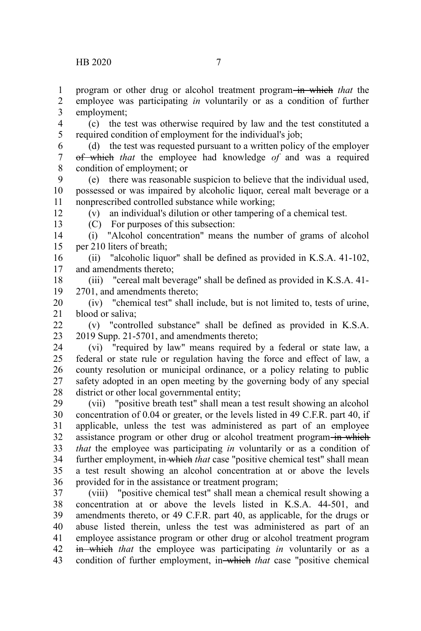program or other drug or alcohol treatment program in which *that* the 1

employee was participating *in* voluntarily or as a condition of further employment; 2 3

(c) the test was otherwise required by law and the test constituted a required condition of employment for the individual's job; 4 5

- (d) the test was requested pursuant to a written policy of the employer of which *that* the employee had knowledge *of* and was a required condition of employment; or 6 7 8
- (e) there was reasonable suspicion to believe that the individual used, possessed or was impaired by alcoholic liquor, cereal malt beverage or a nonprescribed controlled substance while working; 9 10 11

(v) an individual's dilution or other tampering of a chemical test.

12 13

(C) For purposes of this subsection:

(i) "Alcohol concentration" means the number of grams of alcohol per 210 liters of breath; 14 15

(ii) "alcoholic liquor" shall be defined as provided in K.S.A. 41-102, and amendments thereto; 16 17

(iii) "cereal malt beverage" shall be defined as provided in K.S.A. 41- 2701, and amendments thereto; 18 19

(iv) "chemical test" shall include, but is not limited to, tests of urine, blood or saliva; 20 21

(v) "controlled substance" shall be defined as provided in K.S.A. 2019 Supp. 21-5701, and amendments thereto;  $22$ 23

(vi) "required by law" means required by a federal or state law, a federal or state rule or regulation having the force and effect of law, a county resolution or municipal ordinance, or a policy relating to public safety adopted in an open meeting by the governing body of any special district or other local governmental entity; 24 25 26 27 28

(vii) "positive breath test" shall mean a test result showing an alcohol concentration of 0.04 or greater, or the levels listed in 49 C.F.R. part 40, if applicable, unless the test was administered as part of an employee assistance program or other drug or alcohol treatment program in which *that* the employee was participating *in* voluntarily or as a condition of further employment, in which *that* case "positive chemical test" shall mean a test result showing an alcohol concentration at or above the levels provided for in the assistance or treatment program; 29 30 31 32 33 34 35 36

(viii) "positive chemical test" shall mean a chemical result showing a concentration at or above the levels listed in K.S.A. 44-501, and amendments thereto, or 49 C.F.R. part 40, as applicable, for the drugs or abuse listed therein, unless the test was administered as part of an employee assistance program or other drug or alcohol treatment program in which *that* the employee was participating *in* voluntarily or as a condition of further employment, in which *that* case "positive chemical 37 38 39 40 41 42 43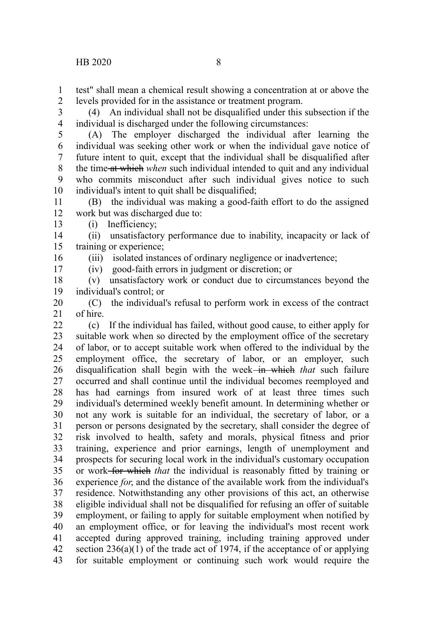test" shall mean a chemical result showing a concentration at or above the levels provided for in the assistance or treatment program. 1 2

(4) An individual shall not be disqualified under this subsection if the individual is discharged under the following circumstances: 3 4

(A) The employer discharged the individual after learning the individual was seeking other work or when the individual gave notice of future intent to quit, except that the individual shall be disqualified after the time at which *when* such individual intended to quit and any individual who commits misconduct after such individual gives notice to such individual's intent to quit shall be disqualified; 5 6 7 8 9 10

(B) the individual was making a good-faith effort to do the assigned work but was discharged due to: 11 12 13

(i) Inefficiency;

16 17

(ii) unsatisfactory performance due to inability, incapacity or lack of training or experience; 14 15

(iii) isolated instances of ordinary negligence or inadvertence;

(iv) good-faith errors in judgment or discretion; or

(v) unsatisfactory work or conduct due to circumstances beyond the individual's control; or 18 19

(C) the individual's refusal to perform work in excess of the contract of hire. 20 21

(c) If the individual has failed, without good cause, to either apply for suitable work when so directed by the employment office of the secretary of labor, or to accept suitable work when offered to the individual by the employment office, the secretary of labor, or an employer, such disqualification shall begin with the week<del> in which</del> that such failure occurred and shall continue until the individual becomes reemployed and has had earnings from insured work of at least three times such individual's determined weekly benefit amount. In determining whether or not any work is suitable for an individual, the secretary of labor, or a person or persons designated by the secretary, shall consider the degree of risk involved to health, safety and morals, physical fitness and prior training, experience and prior earnings, length of unemployment and prospects for securing local work in the individual's customary occupation or work for which *that* the individual is reasonably fitted by training or experience *for*, and the distance of the available work from the individual's residence. Notwithstanding any other provisions of this act, an otherwise eligible individual shall not be disqualified for refusing an offer of suitable employment, or failing to apply for suitable employment when notified by an employment office, or for leaving the individual's most recent work accepted during approved training, including training approved under section  $236(a)(1)$  of the trade act of 1974, if the acceptance of or applying for suitable employment or continuing such work would require the  $22$ 23 24 25 26 27 28 29 30 31 32 33 34 35 36 37 38 39 40 41 42 43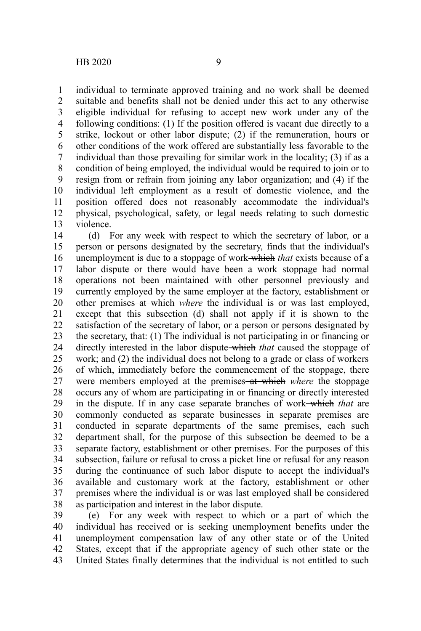individual to terminate approved training and no work shall be deemed suitable and benefits shall not be denied under this act to any otherwise eligible individual for refusing to accept new work under any of the following conditions: (1) If the position offered is vacant due directly to a strike, lockout or other labor dispute; (2) if the remuneration, hours or other conditions of the work offered are substantially less favorable to the individual than those prevailing for similar work in the locality; (3) if as a condition of being employed, the individual would be required to join or to resign from or refrain from joining any labor organization; and (4) if the individual left employment as a result of domestic violence, and the position offered does not reasonably accommodate the individual's physical, psychological, safety, or legal needs relating to such domestic violence. 1 2 3 4 5 6 7 8 9 10 11 12 13

(d) For any week with respect to which the secretary of labor, or a person or persons designated by the secretary, finds that the individual's unemployment is due to a stoppage of work which *that* exists because of a labor dispute or there would have been a work stoppage had normal operations not been maintained with other personnel previously and currently employed by the same employer at the factory, establishment or other premises at which *where* the individual is or was last employed, except that this subsection (d) shall not apply if it is shown to the satisfaction of the secretary of labor, or a person or persons designated by the secretary, that: (1) The individual is not participating in or financing or directly interested in the labor dispute which *that* caused the stoppage of work; and (2) the individual does not belong to a grade or class of workers of which, immediately before the commencement of the stoppage, there were members employed at the premises–at which *where* the stoppage occurs any of whom are participating in or financing or directly interested in the dispute. If in any case separate branches of work which *that* are commonly conducted as separate businesses in separate premises are conducted in separate departments of the same premises, each such department shall, for the purpose of this subsection be deemed to be a separate factory, establishment or other premises. For the purposes of this subsection, failure or refusal to cross a picket line or refusal for any reason during the continuance of such labor dispute to accept the individual's available and customary work at the factory, establishment or other premises where the individual is or was last employed shall be considered as participation and interest in the labor dispute. 14 15 16 17 18 19 20 21 22 23 24 25 26 27 28 29 30 31 32 33 34 35 36 37 38

(e) For any week with respect to which or a part of which the individual has received or is seeking unemployment benefits under the unemployment compensation law of any other state or of the United States, except that if the appropriate agency of such other state or the United States finally determines that the individual is not entitled to such 39 40 41 42 43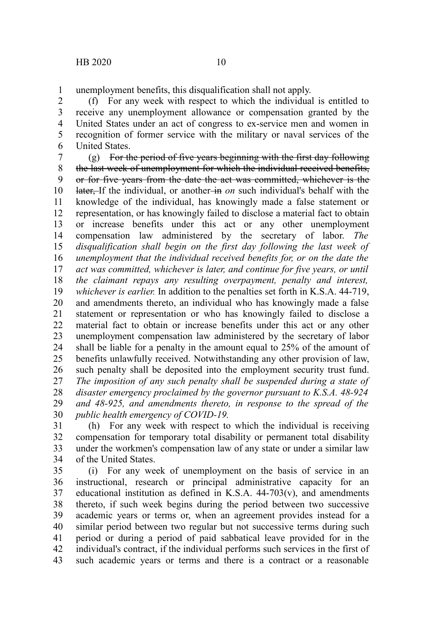unemployment benefits, this disqualification shall not apply. 1

(f) For any week with respect to which the individual is entitled to receive any unemployment allowance or compensation granted by the United States under an act of congress to ex-service men and women in recognition of former service with the military or naval services of the United States. 2 3 4 5 6

(g) For the period of five years beginning with the first day following the last week of unemployment for which the individual received benefits, or for five years from the date the act was committed, whichever is the later, If the individual, or another-in *on* such individual's behalf with the knowledge of the individual, has knowingly made a false statement or representation, or has knowingly failed to disclose a material fact to obtain or increase benefits under this act or any other unemployment compensation law administered by the secretary of labor. *The disqualification shall begin on the first day following the last week of unemployment that the individual received benefits for, or on the date the act was committed, whichever is later, and continue for five years, or until the claimant repays any resulting overpayment, penalty and interest, whichever is earlier.* In addition to the penalties set forth in K.S.A. 44-719, and amendments thereto, an individual who has knowingly made a false statement or representation or who has knowingly failed to disclose a material fact to obtain or increase benefits under this act or any other unemployment compensation law administered by the secretary of labor shall be liable for a penalty in the amount equal to 25% of the amount of benefits unlawfully received. Notwithstanding any other provision of law, such penalty shall be deposited into the employment security trust fund. *The imposition of any such penalty shall be suspended during a state of disaster emergency proclaimed by the governor pursuant to K.S.A. 48-924 and 48-925, and amendments thereto, in response to the spread of the public health emergency of COVID-19.* 7 8 9 10 11 12 13 14 15 16 17 18 19 20 21 22 23 24 25 26 27 28 29 30

(h) For any week with respect to which the individual is receiving compensation for temporary total disability or permanent total disability under the workmen's compensation law of any state or under a similar law of the United States. 31 32 33 34

(i) For any week of unemployment on the basis of service in an instructional, research or principal administrative capacity for an educational institution as defined in K.S.A.  $44-703(v)$ , and amendments thereto, if such week begins during the period between two successive academic years or terms or, when an agreement provides instead for a similar period between two regular but not successive terms during such period or during a period of paid sabbatical leave provided for in the individual's contract, if the individual performs such services in the first of such academic years or terms and there is a contract or a reasonable 35 36 37 38 39 40 41 42 43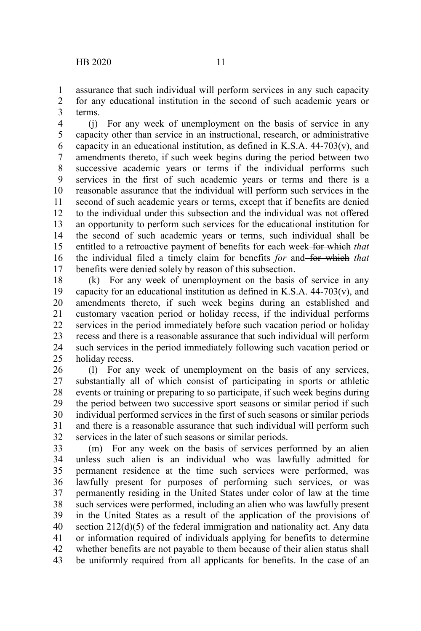assurance that such individual will perform services in any such capacity for any educational institution in the second of such academic years or terms. 1 2 3

(j) For any week of unemployment on the basis of service in any capacity other than service in an instructional, research, or administrative capacity in an educational institution, as defined in K.S.A.  $44-703(v)$ , and amendments thereto, if such week begins during the period between two successive academic years or terms if the individual performs such services in the first of such academic years or terms and there is a reasonable assurance that the individual will perform such services in the second of such academic years or terms, except that if benefits are denied to the individual under this subsection and the individual was not offered an opportunity to perform such services for the educational institution for the second of such academic years or terms, such individual shall be entitled to a retroactive payment of benefits for each week for which *that* the individual filed a timely claim for benefits *for* and for which *that* benefits were denied solely by reason of this subsection. 4 5 6 7 8 9 10 11 12 13 14 15 16 17

(k) For any week of unemployment on the basis of service in any capacity for an educational institution as defined in K.S.A.  $44-703(v)$ , and amendments thereto, if such week begins during an established and customary vacation period or holiday recess, if the individual performs services in the period immediately before such vacation period or holiday recess and there is a reasonable assurance that such individual will perform such services in the period immediately following such vacation period or holiday recess. 18 19 20 21 22 23 24 25

(l) For any week of unemployment on the basis of any services, substantially all of which consist of participating in sports or athletic events or training or preparing to so participate, if such week begins during the period between two successive sport seasons or similar period if such individual performed services in the first of such seasons or similar periods and there is a reasonable assurance that such individual will perform such services in the later of such seasons or similar periods. 26 27 28 29 30 31 32

(m) For any week on the basis of services performed by an alien unless such alien is an individual who was lawfully admitted for permanent residence at the time such services were performed, was lawfully present for purposes of performing such services, or was permanently residing in the United States under color of law at the time such services were performed, including an alien who was lawfully present in the United States as a result of the application of the provisions of section 212(d)(5) of the federal immigration and nationality act. Any data or information required of individuals applying for benefits to determine whether benefits are not payable to them because of their alien status shall be uniformly required from all applicants for benefits. In the case of an 33 34 35 36 37 38 39 40 41 42 43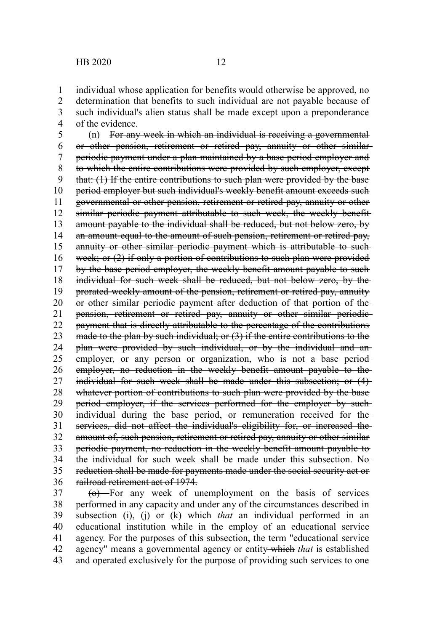individual whose application for benefits would otherwise be approved, no determination that benefits to such individual are not payable because of such individual's alien status shall be made except upon a preponderance of the evidence. 1 2 3 4

(n) For any week in which an individual is receiving a governmental or other pension, retirement or retired pay, annuity or other similar periodic payment under a plan maintained by a base period employer and to which the entire contributions were provided by such employer, except that: (1) If the entire contributions to such plan were provided by the base period employer but such individual's weekly benefit amount exceeds such governmental or other pension, retirement or retired pay, annuity or other similar periodic payment attributable to such week, the weekly benefitamount payable to the individual shall be reduced, but not below zero, by an amount equal to the amount of such pension, retirement or retired pay, annuity or other similar periodic payment which is attributable to suchweek; or (2) if only a portion of contributions to such plan were provided by the base period employer, the weekly benefit amount payable to such individual for such week shall be reduced, but not below zero, by the prorated weekly amount of the pension, retirement or retired pay, annuity or other similar periodic payment after deduction of that portion of the pension, retirement or retired pay, annuity or other similar periodic payment that is directly attributable to the percentage of the contributions made to the plan by such individual; or (3) if the entire contributions to the plan were provided by such individual, or by the individual and an employer, or any person or organization, who is not a base periodemployer, no reduction in the weekly benefit amount payable to the individual for such week shall be made under this subsection; or (4) whatever portion of contributions to such plan were provided by the base period employer, if the services performed for the employer by suchindividual during the base period, or remuneration received for the services, did not affect the individual's eligibility for, or increased the amount of, such pension, retirement or retired pay, annuity or other similar periodic payment, no reduction in the weekly benefit amount payable to the individual for such week shall be made under this subsection. No reduction shall be made for payments made under the social security act or railroad retirement act of 1974. 5 6 7 8 9 10 11 12 13 14 15 16 17 18 19 20 21 22 23 24 25 26 27 28 29 30 31 32 33 34 35 36

 $(a)$  For any week of unemployment on the basis of services performed in any capacity and under any of the circumstances described in subsection (i), (j) or (k) which *that* an individual performed in an educational institution while in the employ of an educational service agency. For the purposes of this subsection, the term "educational service agency" means a governmental agency or entity which *that* is established and operated exclusively for the purpose of providing such services to one 37 38 39 40 41 42 43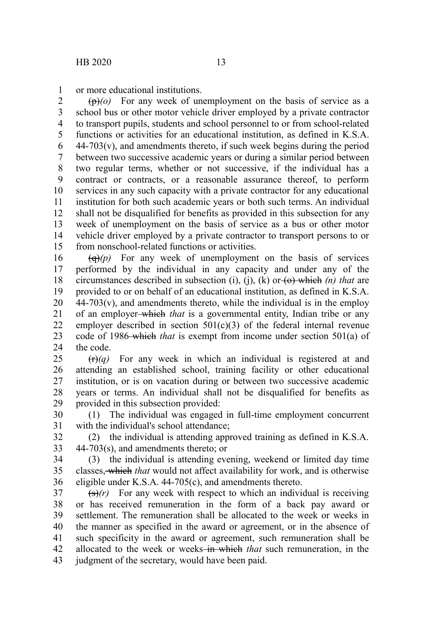or more educational institutions. 1

(p)*(o)* For any week of unemployment on the basis of service as a school bus or other motor vehicle driver employed by a private contractor to transport pupils, students and school personnel to or from school-related functions or activities for an educational institution, as defined in K.S.A.  $44-703(v)$ , and amendments thereto, if such week begins during the period between two successive academic years or during a similar period between two regular terms, whether or not successive, if the individual has a contract or contracts, or a reasonable assurance thereof, to perform services in any such capacity with a private contractor for any educational institution for both such academic years or both such terms. An individual shall not be disqualified for benefits as provided in this subsection for any week of unemployment on the basis of service as a bus or other motor vehicle driver employed by a private contractor to transport persons to or from nonschool-related functions or activities. 2 3 4 5 6 7 8 9 10 11 12 13 14 15

 $\left(\theta\right)(p)$  For any week of unemployment on the basis of services performed by the individual in any capacity and under any of the circumstances described in subsection (i), (j), (k) or  $\leftrightarrow$  which (n) that are provided to or on behalf of an educational institution, as defined in K.S.A.  $44-703(v)$ , and amendments thereto, while the individual is in the employ of an employer which *that* is a governmental entity, Indian tribe or any employer described in section  $501(c)(3)$  of the federal internal revenue code of 1986 which *that* is exempt from income under section 501(a) of the code. 16 17 18 19 20 21 22 23 24

(r)*(q)* For any week in which an individual is registered at and attending an established school, training facility or other educational institution, or is on vacation during or between two successive academic years or terms. An individual shall not be disqualified for benefits as provided in this subsection provided: 25 26 27 28 29

(1) The individual was engaged in full-time employment concurrent with the individual's school attendance; 30 31

(2) the individual is attending approved training as defined in K.S.A. 44-703(s), and amendments thereto; or 32 33

(3) the individual is attending evening, weekend or limited day time classes, which *that* would not affect availability for work, and is otherwise eligible under K.S.A. 44-705(c), and amendments thereto. 34 35 36

 $\left(\frac{1}{s}\right)(r)$  For any week with respect to which an individual is receiving or has received remuneration in the form of a back pay award or settlement. The remuneration shall be allocated to the week or weeks in the manner as specified in the award or agreement, or in the absence of such specificity in the award or agreement, such remuneration shall be allocated to the week or weeks in which *that* such remuneration, in the judgment of the secretary, would have been paid. 37 38 39 40 41 42 43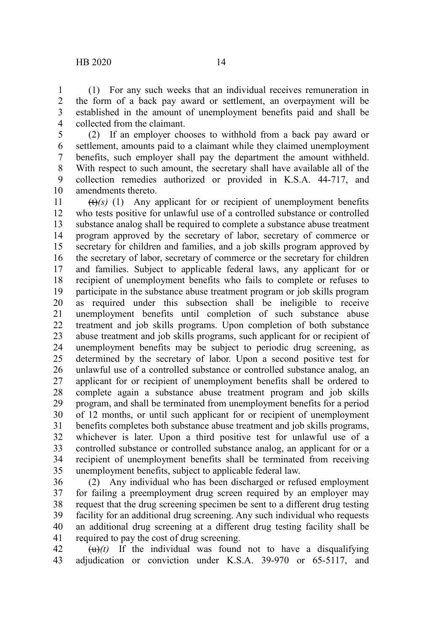(1) For any such weeks that an individual receives remuneration in the form of a back pay award or settlement, an overpayment will be established in the amount of unemployment benefits paid and shall be collected from the claimant. 1 2 3 4

(2) If an employer chooses to withhold from a back pay award or settlement, amounts paid to a claimant while they claimed unemployment benefits, such employer shall pay the department the amount withheld. With respect to such amount, the secretary shall have available all of the collection remedies authorized or provided in K.S.A. 44-717, and amendments thereto. 5 6 7 8 9 10

 $(t)$ (s) (1) Any applicant for or recipient of unemployment benefits who tests positive for unlawful use of a controlled substance or controlled substance analog shall be required to complete a substance abuse treatment program approved by the secretary of labor, secretary of commerce or secretary for children and families, and a job skills program approved by the secretary of labor, secretary of commerce or the secretary for children and families. Subject to applicable federal laws, any applicant for or recipient of unemployment benefits who fails to complete or refuses to participate in the substance abuse treatment program or job skills program as required under this subsection shall be ineligible to receive unemployment benefits until completion of such substance abuse treatment and job skills programs. Upon completion of both substance abuse treatment and job skills programs, such applicant for or recipient of unemployment benefits may be subject to periodic drug screening, as determined by the secretary of labor. Upon a second positive test for unlawful use of a controlled substance or controlled substance analog, an applicant for or recipient of unemployment benefits shall be ordered to complete again a substance abuse treatment program and job skills program, and shall be terminated from unemployment benefits for a period of 12 months, or until such applicant for or recipient of unemployment benefits completes both substance abuse treatment and job skills programs, whichever is later. Upon a third positive test for unlawful use of a controlled substance or controlled substance analog, an applicant for or a recipient of unemployment benefits shall be terminated from receiving unemployment benefits, subject to applicable federal law. 11 12 13 14 15 16 17 18 19 20 21 22 23 24 25 26 27 28 29 30 31 32 33 34 35

(2) Any individual who has been discharged or refused employment for failing a preemployment drug screen required by an employer may request that the drug screening specimen be sent to a different drug testing facility for an additional drug screening. Any such individual who requests an additional drug screening at a different drug testing facility shall be required to pay the cost of drug screening. 36 37 38 39 40 41

 $\left(\frac{u}{u}\right)(t)$  If the individual was found not to have a disqualifying adjudication or conviction under K.S.A. 39-970 or 65-5117, and 42 43